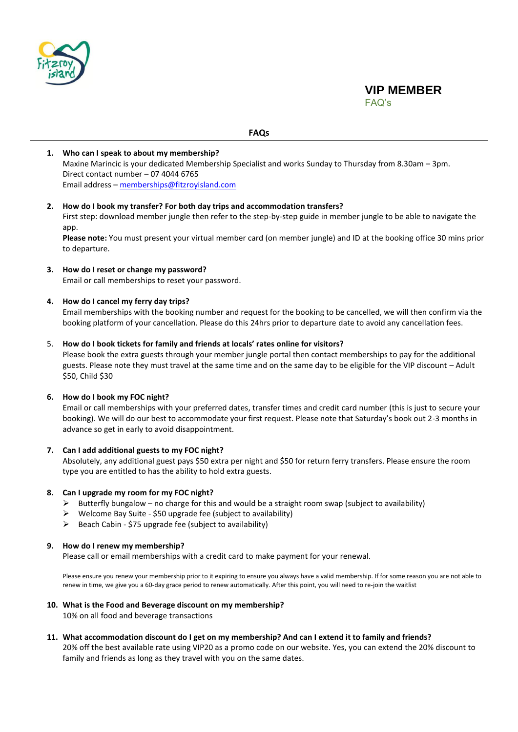

# **VIP MEMBER** FAQ's

## **FAQs**

# **1. Who can I speak to about my membership?** Maxine Marincic is your dedicated Membership Specialist and works Sunday to Thursday from 8.30am – 3pm. Direct contact number – 07 4044 6765 Email address – [memberships@fitzroyisland.com](mailto:memberships@fitzroyisland.com)

## **2. How do I book my transfer? For both day trips and accommodation transfers?**

First step: download member jungle then refer to the step-by-step guide in member jungle to be able to navigate the ann

**Please note:** You must present your virtual member card (on member jungle) and ID at the booking office 30 mins prior to departure.

## **3. How do I reset or change my password?**

Email or call memberships to reset your password.

## **4. How do I cancel my ferry day trips?**

Email memberships with the booking number and request for the booking to be cancelled, we will then confirm via the booking platform of your cancellation. Please do this 24hrs prior to departure date to avoid any cancellation fees.

#### 5. **How do I book tickets for family and friends at locals' rates online for visitors?**

Please book the extra guests through your member jungle portal then contact memberships to pay for the additional guests. Please note they must travel at the same time and on the same day to be eligible for the VIP discount – Adult \$50, Child \$30

## **6. How do I book my FOC night?**

Email or call memberships with your preferred dates, transfer times and credit card number (this is just to secure your booking). We will do our best to accommodate your first request. Please note that Saturday's book out 2-3 months in advance so get in early to avoid disappointment.

## **7. Can I add additional guests to my FOC night?**

Absolutely, any additional guest pays \$50 extra per night and \$50 for return ferry transfers. Please ensure the room type you are entitled to has the ability to hold extra guests.

## **8. Can I upgrade my room for my FOC night?**

- $\triangleright$  Butterfly bungalow no charge for this and would be a straight room swap (subject to availability)
- $\triangleright$  Welcome Bay Suite \$50 upgrade fee (subject to availability)
- ➢ Beach Cabin \$75 upgrade fee (subject to availability)

#### **9. How do I renew my membership?**

Please call or email memberships with a credit card to make payment for your renewal.

Please ensure you renew your membership prior to it expiring to ensure you always have a valid membership. If for some reason you are not able to renew in time, we give you a 60-day grace period to renew automatically. After this point, you will need to re-join the waitlist

#### **10. What is the Food and Beverage discount on my membership?**

10% on all food and beverage transactions

## **11. What accommodation discount do I get on my membership? And can I extend it to family and friends?**

20% off the best available rate using VIP20 as a promo code on our website. Yes, you can extend the 20% discount to family and friends as long as they travel with you on the same dates.